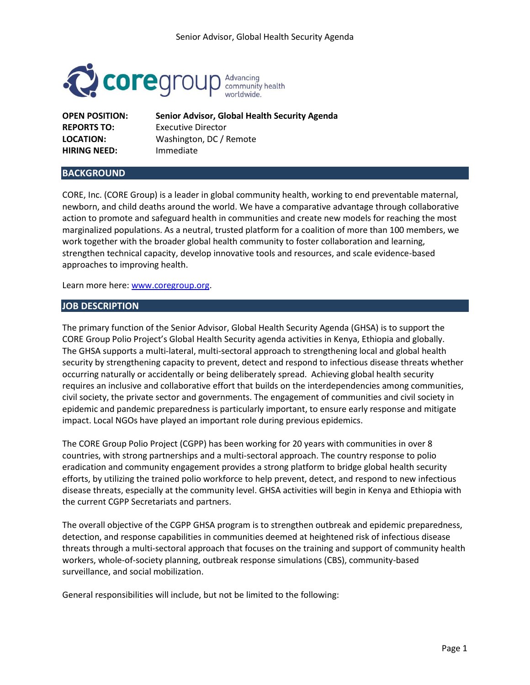

**HIRING NEED:** Immediate

**OPEN POSITION: Senior Advisor, Global Health Security Agenda REPORTS TO:** Executive Director **LOCATION:** Washington, DC / Remote

## **BACKGROUND**

CORE, Inc. (CORE Group) is a leader in global community health, working to end preventable maternal, newborn, and child deaths around the world. We have a comparative advantage through collaborative action to promote and safeguard health in communities and create new models for reaching the most marginalized populations. As a neutral, trusted platform for a coalition of more than 100 members, we work together with the broader global health community to foster collaboration and learning, strengthen technical capacity, develop innovative tools and resources, and scale evidence-based approaches to improving health.

Learn more here: [www.coregroup.org.](http://www.coregroup.org/)

#### **JOB DESCRIPTION**

The primary function of the Senior Advisor, Global Health Security Agenda (GHSA) is to support the CORE Group Polio Project's Global Health Security agenda activities in Kenya, Ethiopia and globally. The GHSA supports a multi-lateral, multi-sectoral approach to strengthening local and global health security by strengthening capacity to prevent, detect and respond to infectious disease threats whether occurring naturally or accidentally or being deliberately spread. Achieving global health security requires an inclusive and collaborative effort that builds on the interdependencies among communities, civil society, the private sector and governments. The engagement of communities and civil society in epidemic and pandemic preparedness is particularly important, to ensure early response and mitigate impact. Local NGOs have played an important role during previous epidemics.

The CORE Group Polio Project (CGPP) has been working for 20 years with communities in over 8 countries, with strong partnerships and a multi-sectoral approach. The country response to polio eradication and community engagement provides a strong platform to bridge global health security efforts, by utilizing the trained polio workforce to help prevent, detect, and respond to new infectious disease threats, especially at the community level. GHSA activities will begin in Kenya and Ethiopia with the current CGPP Secretariats and partners.

The overall objective of the CGPP GHSA program is to strengthen outbreak and epidemic preparedness, detection, and response capabilities in communities deemed at heightened risk of infectious disease threats through a multi-sectoral approach that focuses on the training and support of community health workers, whole-of-society planning, outbreak response simulations (CBS), community-based surveillance, and social mobilization.

General responsibilities will include, but not be limited to the following: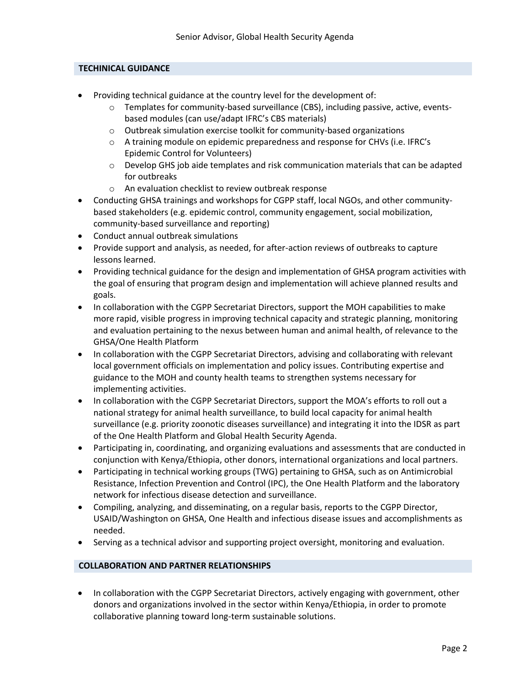### **TECHINICAL GUIDANCE**

- Providing technical guidance at the country level for the development of:
	- $\circ$  Templates for community-based surveillance (CBS), including passive, active, eventsbased modules (can use/adapt IFRC's CBS materials)
	- o Outbreak simulation exercise toolkit for community-based organizations
	- o A training module on epidemic preparedness and response for CHVs (i.e. IFRC's Epidemic Control for Volunteers)
	- $\circ$  Develop GHS job aide templates and risk communication materials that can be adapted for outbreaks
	- o An evaluation checklist to review outbreak response
- Conducting GHSA trainings and workshops for CGPP staff, local NGOs, and other communitybased stakeholders (e.g. epidemic control, community engagement, social mobilization, community-based surveillance and reporting)
- Conduct annual outbreak simulations
- Provide support and analysis, as needed, for after-action reviews of outbreaks to capture lessons learned.
- Providing technical guidance for the design and implementation of GHSA program activities with the goal of ensuring that program design and implementation will achieve planned results and goals.
- In collaboration with the CGPP Secretariat Directors, support the MOH capabilities to make more rapid, visible progress in improving technical capacity and strategic planning, monitoring and evaluation pertaining to the nexus between human and animal health, of relevance to the GHSA/One Health Platform
- In collaboration with the CGPP Secretariat Directors, advising and collaborating with relevant local government officials on implementation and policy issues. Contributing expertise and guidance to the MOH and county health teams to strengthen systems necessary for implementing activities.
- In collaboration with the CGPP Secretariat Directors, support the MOA's efforts to roll out a national strategy for animal health surveillance, to build local capacity for animal health surveillance (e.g. priority zoonotic diseases surveillance) and integrating it into the IDSR as part of the One Health Platform and Global Health Security Agenda.
- Participating in, coordinating, and organizing evaluations and assessments that are conducted in conjunction with Kenya/Ethiopia, other donors, international organizations and local partners.
- Participating in technical working groups (TWG) pertaining to GHSA, such as on Antimicrobial Resistance, Infection Prevention and Control (IPC), the One Health Platform and the laboratory network for infectious disease detection and surveillance.
- Compiling, analyzing, and disseminating, on a regular basis, reports to the CGPP Director, USAID/Washington on GHSA, One Health and infectious disease issues and accomplishments as needed.
- Serving as a technical advisor and supporting project oversight, monitoring and evaluation.

### **COLLABORATION AND PARTNER RELATIONSHIPS**

• In collaboration with the CGPP Secretariat Directors, actively engaging with government, other donors and organizations involved in the sector within Kenya/Ethiopia, in order to promote collaborative planning toward long-term sustainable solutions.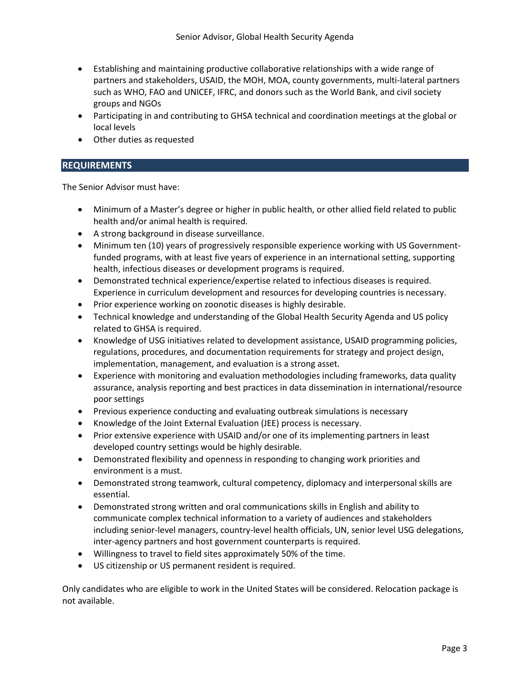- Establishing and maintaining productive collaborative relationships with a wide range of partners and stakeholders, USAID, the MOH, MOA, county governments, multi-lateral partners such as WHO, FAO and UNICEF, IFRC, and donors such as the World Bank, and civil society groups and NGOs
- Participating in and contributing to GHSA technical and coordination meetings at the global or local levels
- Other duties as requested

#### **REQUIREMENTS**

The Senior Advisor must have:

- Minimum of a Master's degree or higher in public health, or other allied field related to public health and/or animal health is required.
- A strong background in disease surveillance.
- Minimum ten (10) years of progressively responsible experience working with US Governmentfunded programs, with at least five years of experience in an international setting, supporting health, infectious diseases or development programs is required.
- Demonstrated technical experience/expertise related to infectious diseases is required. Experience in curriculum development and resources for developing countries is necessary.
- Prior experience working on zoonotic diseases is highly desirable.
- Technical knowledge and understanding of the Global Health Security Agenda and US policy related to GHSA is required.
- Knowledge of USG initiatives related to development assistance, USAID programming policies, regulations, procedures, and documentation requirements for strategy and project design, implementation, management, and evaluation is a strong asset.
- Experience with monitoring and evaluation methodologies including frameworks, data quality assurance, analysis reporting and best practices in data dissemination in international/resource poor settings
- Previous experience conducting and evaluating outbreak simulations is necessary
- Knowledge of the Joint External Evaluation (JEE) process is necessary.
- Prior extensive experience with USAID and/or one of its implementing partners in least developed country settings would be highly desirable.
- Demonstrated flexibility and openness in responding to changing work priorities and environment is a must.
- Demonstrated strong teamwork, cultural competency, diplomacy and interpersonal skills are essential.
- Demonstrated strong written and oral communications skills in English and ability to communicate complex technical information to a variety of audiences and stakeholders including senior-level managers, country-level health officials, UN, senior level USG delegations, inter-agency partners and host government counterparts is required.
- Willingness to travel to field sites approximately 50% of the time.
- US citizenship or US permanent resident is required.

Only candidates who are eligible to work in the United States will be considered. Relocation package is not available.